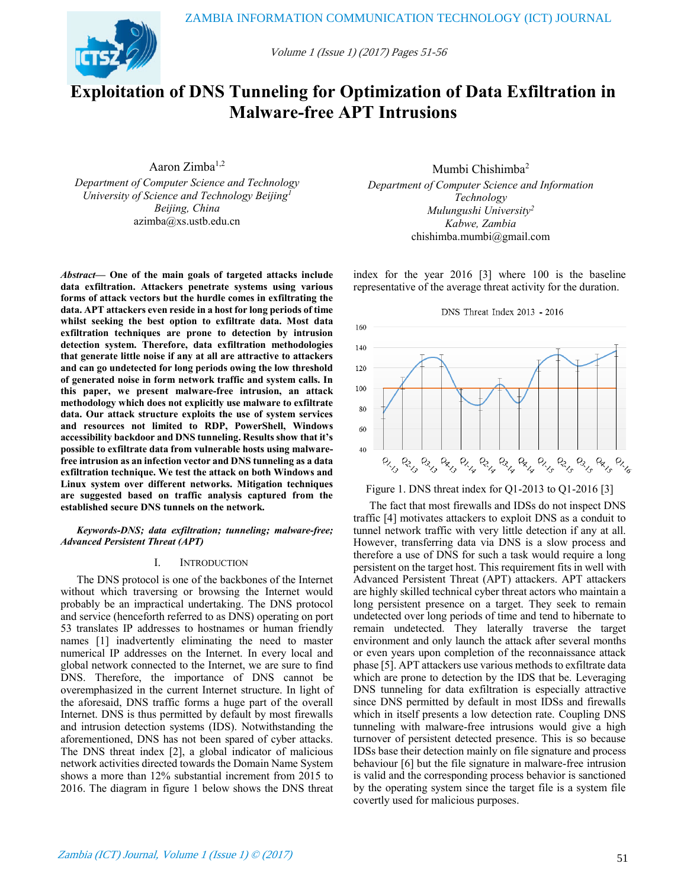

Volume 1 (Issue 1) (2017) Pages 51-56

# **Exploitation of DNS Tunneling for Optimization of Data Exfiltration in Malware-free APT Intrusions**

Aaron Zimba $1,2$ 

*Department of Computer Science and Technology University of Science and Technology Beijing<sup>1</sup> Beijing, China*  azimba@xs.ustb.edu.cn

*Abstract***— One of the main goals of targeted attacks include data exfiltration. Attackers penetrate systems using various forms of attack vectors but the hurdle comes in exfiltrating the data. APT attackers even reside in a host for long periods of time whilst seeking the best option to exfiltrate data. Most data exfiltration techniques are prone to detection by intrusion detection system. Therefore, data exfiltration methodologies that generate little noise if any at all are attractive to attackers and can go undetected for long periods owing the low threshold of generated noise in form network traffic and system calls. In this paper, we present malware-free intrusion, an attack methodology which does not explicitly use malware to exfiltrate data. Our attack structure exploits the use of system services and resources not limited to RDP, PowerShell, Windows accessibility backdoor and DNS tunneling. Results show that it's possible to exfiltrate data from vulnerable hosts using malwarefree intrusion as an infection vector and DNS tunneling as a data exfiltration technique. We test the attack on both Windows and Linux system over different networks. Mitigation techniques are suggested based on traffic analysis captured from the established secure DNS tunnels on the network.** 

*Keywords-DNS; data exfiltration; tunneling; malware-free; Advanced Persistent Threat (APT)* 

## I. INTRODUCTION

The DNS protocol is one of the backbones of the Internet without which traversing or browsing the Internet would probably be an impractical undertaking. The DNS protocol and service (henceforth referred to as DNS) operating on port 53 translates IP addresses to hostnames or human friendly names [1] inadvertently eliminating the need to master numerical IP addresses on the Internet. In every local and global network connected to the Internet, we are sure to find DNS. Therefore, the importance of DNS cannot be overemphasized in the current Internet structure. In light of the aforesaid, DNS traffic forms a huge part of the overall Internet. DNS is thus permitted by default by most firewalls and intrusion detection systems (IDS). Notwithstanding the aforementioned, DNS has not been spared of cyber attacks. The DNS threat index [2], a global indicator of malicious network activities directed towards the Domain Name System shows a more than 12% substantial increment from 2015 to 2016. The diagram in figure 1 below shows the DNS threat

Mumbi Chishimba<sup>2</sup>

*Department of Computer Science and Information Technology Mulungushi University<sup>2</sup> Kabwe, Zambia*  chishimba.mumbi@gmail.com

index for the year 2016 [3] where 100 is the baseline representative of the average threat activity for the duration.



Figure 1. DNS threat index for Q1-2013 to Q1-2016 [3]

The fact that most firewalls and IDSs do not inspect DNS traffic [4] motivates attackers to exploit DNS as a conduit to tunnel network traffic with very little detection if any at all. However, transferring data via DNS is a slow process and therefore a use of DNS for such a task would require a long persistent on the target host. This requirement fits in well with Advanced Persistent Threat (APT) attackers. APT attackers are highly skilled technical cyber threat actors who maintain a long persistent presence on a target. They seek to remain undetected over long periods of time and tend to hibernate to remain undetected. They laterally traverse the target environment and only launch the attack after several months or even years upon completion of the reconnaissance attack phase [5]. APT attackers use various methods to exfiltrate data which are prone to detection by the IDS that be. Leveraging DNS tunneling for data exfiltration is especially attractive since DNS permitted by default in most IDSs and firewalls which in itself presents a low detection rate. Coupling DNS tunneling with malware-free intrusions would give a high turnover of persistent detected presence. This is so because IDSs base their detection mainly on file signature and process behaviour [6] but the file signature in malware-free intrusion is valid and the corresponding process behavior is sanctioned by the operating system since the target file is a system file covertly used for malicious purposes.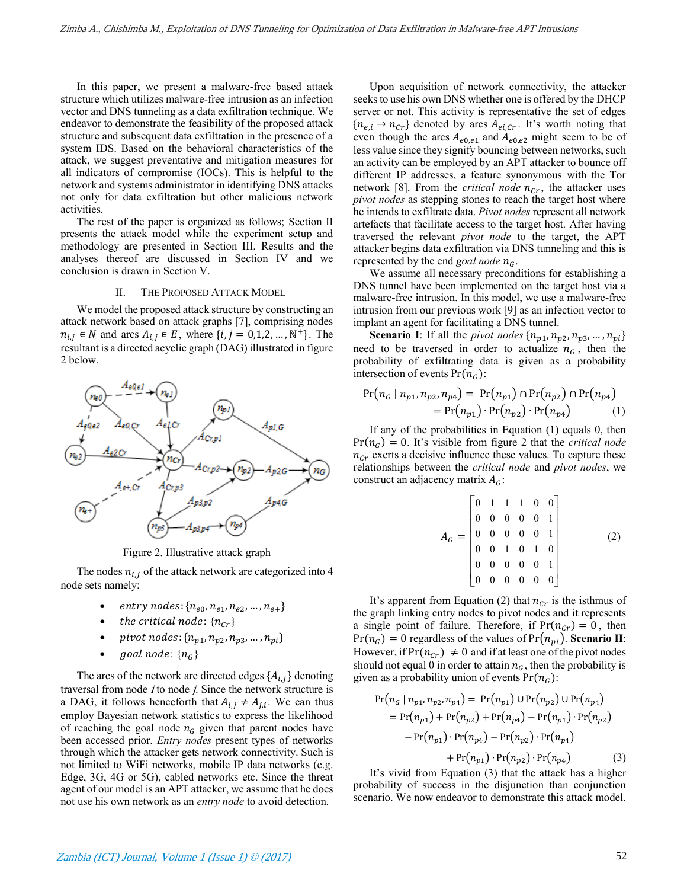In this paper, we present a malware-free based attack structure which utilizes malware-free intrusion as an infection vector and DNS tunneling as a data exfiltration technique. We endeavor to demonstrate the feasibility of the proposed attack structure and subsequent data exfiltration in the presence of a system IDS. Based on the behavioral characteristics of the attack, we suggest preventative and mitigation measures for all indicators of compromise (IOCs). This is helpful to the network and systems administrator in identifying DNS attacks not only for data exfiltration but other malicious network activities.

The rest of the paper is organized as follows; Section II presents the attack model while the experiment setup and methodology are presented in Section III. Results and the analyses thereof are discussed in Section IV and we conclusion is drawn in Section V.

#### II. THE PROPOSED ATTACK MODEL

We model the proposed attack structure by constructing an attack network based on attack graphs [7], comprising nodes  $n_{i,j} \in N$  and arcs  $A_{i,j} \in E$ , where  $\{i, j = 0, 1, 2, ..., N^+\}$ . The resultant is a directed acyclic graph (DAG) illustrated in figure 2 below.



Figure 2. Illustrative attack graph

The nodes  $n_{i,j}$  of the attack network are categorized into 4 node sets namely:

- entry nodes:  $\{n_{e0}, n_{e1}, n_{e2}, ..., n_{e+}\}$
- the critical node:  $\{n_{cr}\}$
- pivot nodes:  $\{n_{p1}, n_{p2}, n_{p3}, ..., n_{pi}\}$
- goal node:  ${n<sub>G</sub>}$

The arcs of the network are directed edges  $\{A_{i,j}\}$  denoting traversal from node  $i$  to node  $j$ . Since the network structure is a DAG, it follows henceforth that  $A_{i,j} \neq A_{j,i}$ . We can thus employ Bayesian network statistics to express the likelihood of reaching the goal node  $n<sub>G</sub>$  given that parent nodes have been accessed prior. *Entry nodes* present types of networks through which the attacker gets network connectivity. Such is not limited to WiFi networks, mobile IP data networks (e.g. Edge, 3G, 4G or 5G), cabled networks etc. Since the threat agent of our model is an APT attacker, we assume that he does not use his own network as an *entry node* to avoid detection.

Upon acquisition of network connectivity, the attacker seeks to use his own DNS whether one is offered by the DHCP server or not. This activity is representative the set of edges  ${n_{e,i} \rightarrow n_{Cr}}$  denoted by arcs  $A_{ei,Cr}$ . It's worth noting that even though the arcs  $A_{e0,e1}$  and  $A_{e0,e2}$  might seem to be of less value since they signify bouncing between networks, such an activity can be employed by an APT attacker to bounce off different IP addresses, a feature synonymous with the Tor network [8]. From the *critical node*  $n_{Cr}$ , the attacker uses *pivot nodes* as stepping stones to reach the target host where he intends to exfiltrate data. *Pivot nodes* represent all network artefacts that facilitate access to the target host. After having traversed the relevant *pivot node* to the target, the APT attacker begins data exfiltration via DNS tunneling and this is represented by the end *goal node*  $n<sub>G</sub>$ .

We assume all necessary preconditions for establishing a DNS tunnel have been implemented on the target host via a malware-free intrusion. In this model, we use a malware-free intrusion from our previous work [9] as an infection vector to implant an agent for facilitating a DNS tunnel.

**Scenario I**: If all the *pivot nodes*  $\{n_{p1}, n_{p2}, n_{p3}, \ldots, n_{pi}\}$ need to be traversed in order to actualize  $n<sub>G</sub>$ , then the probability of exfiltrating data is given as a probability intersection of events  $Pr(n_G)$ :

$$
Pr(n_G | n_{p1}, n_{p2}, n_{p4}) = Pr(n_{p1}) \cap Pr(n_{p2}) \cap Pr(n_{p4})
$$
  
= Pr(n\_{p1}) \cdot Pr(n\_{p2}) \cdot Pr(n\_{p4}) (1)

If any of the probabilities in Equation (1) equals 0, then  $Pr(n_G) = 0$ . It's visible from figure 2 that the *critical node*  $n_{Cr}$  exerts a decisive influence these values. To capture these relationships between the *critical node* and *pivot nodes*, we construct an adjacency matrix  $A_G$ :

$$
A_G = \begin{bmatrix} 0 & 1 & 1 & 1 & 0 & 0 \\ 0 & 0 & 0 & 0 & 0 & 1 \\ 0 & 0 & 0 & 0 & 0 & 1 \\ 0 & 0 & 1 & 0 & 1 & 0 \\ 0 & 0 & 0 & 0 & 0 & 1 \\ 0 & 0 & 0 & 0 & 0 & 0 \end{bmatrix}
$$
 (2)

It's apparent from Equation (2) that  $n_{cr}$  is the isthmus of the graph linking entry nodes to pivot nodes and it represents a single point of failure. Therefore, if  $Pr(n_{cr}) = 0$ , then  $Pr(n_G) = 0$  regardless of the values of  $Pr(n_{pi})$ . **Scenario II**: However, if  $Pr(n_{Cr}) \neq 0$  and if at least one of the pivot nodes should not equal 0 in order to attain  $n<sub>G</sub>$ , then the probability is given as a probability union of events  $Pr(n_G)$ :

$$
Pr(n_G | n_{p1}, n_{p2}, n_{p4}) = Pr(n_{p1}) \cup Pr(n_{p2}) \cup Pr(n_{p4})
$$
  
= 
$$
Pr(n_{p1}) + Pr(n_{p2}) + Pr(n_{p4}) - Pr(n_{p1}) \cdot Pr(n_{p2})
$$
  
- 
$$
Pr(n_{p1}) \cdot Pr(n_{p4}) - Pr(n_{p2}) \cdot Pr(n_{p4})
$$
  
+ 
$$
Pr(n_{p1}) \cdot Pr(n_{p2}) \cdot Pr(n_{p4})
$$
 (3)

It's vivid from Equation (3) that the attack has a higher probability of success in the disjunction than conjunction scenario. We now endeavor to demonstrate this attack model.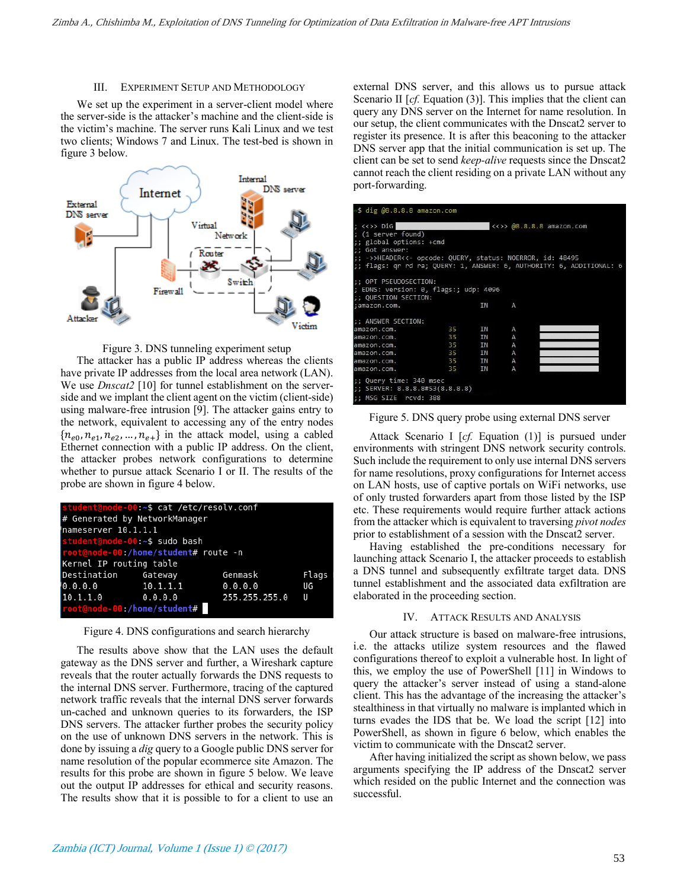# III. EXPERIMENT SETUP AND METHODOLOGY

We set up the experiment in a server-client model where the server-side is the attacker's machine and the client-side is the victim's machine. The server runs Kali Linux and we test two clients; Windows 7 and Linux. The test-bed is shown in figure 3 below.





The attacker has a public IP address whereas the clients have private IP addresses from the local area network (LAN). We use *Dnscat2* [10] for tunnel establishment on the serverside and we implant the client agent on the victim (client-side) using malware-free intrusion [9]. The attacker gains entry to the network, equivalent to accessing any of the entry nodes  ${n_{e0}, n_{e1}, n_{e2}, \ldots, n_{e+}}$  in the attack model, using a cabled Ethernet connection with a public IP address. On the client, the attacker probes network configurations to determine whether to pursue attack Scenario I or II. The results of the probe are shown in figure 4 below.

| student@node-00:~\$ cat /etc/resolv.conf |  |                 |       |  |  |
|------------------------------------------|--|-----------------|-------|--|--|
| # Generated by NetworkManager            |  |                 |       |  |  |
| nameserver 10.1.1.1                      |  |                 |       |  |  |
| student@node-00:~\$ sudo bash            |  |                 |       |  |  |
| root@node-00:/home/student# route -n     |  |                 |       |  |  |
| Kernel IP routing table                  |  |                 |       |  |  |
| Destination Gateway                      |  | Genmask         | Flags |  |  |
| $0.0.0.0$ 10.1.1.1                       |  | 0.0.0.0         | UG    |  |  |
| $10.1.1.0$ 0.0.0.0                       |  | 255.255.255.0 U |       |  |  |
| root@node-00:/home/student#              |  |                 |       |  |  |

Figure 4. DNS configurations and search hierarchy

The results above show that the LAN uses the default gateway as the DNS server and further, a Wireshark capture reveals that the router actually forwards the DNS requests to the internal DNS server. Furthermore, tracing of the captured network traffic reveals that the internal DNS server forwards un-cached and unknown queries to its forwarders, the ISP DNS servers. The attacker further probes the security policy on the use of unknown DNS servers in the network. This is done by issuing a *dig* query to a Google public DNS server for name resolution of the popular ecommerce site Amazon. The results for this probe are shown in figure 5 below. We leave out the output IP addresses for ethical and security reasons. The results show that it is possible to for a client to use an external DNS server, and this allows us to pursue attack Scenario II [*cf.* Equation (3)]. This implies that the client can query any DNS server on the Internet for name resolution. In our setup, the client communicates with the Dnscat2 server to register its presence. It is after this beaconing to the attacker DNS server app that the initial communication is set up. The client can be set to send *keep-alive* requests since the Dnscat2 cannot reach the client residing on a private LAN without any port-forwarding.

| √\$ dig @8.8.8.8 amazon.com                                                            |                                     |                                                                                                                                   |
|----------------------------------------------------------------------------------------|-------------------------------------|-----------------------------------------------------------------------------------------------------------------------------------|
| $\langle \langle \rangle \rangle$ Dig<br>; (1 server found)<br>;; global options: +cmd |                                     | $\langle \langle \rangle \rangle$ @8.8.8.8 amazon.com                                                                             |
| :: Got answer:                                                                         |                                     |                                                                                                                                   |
|                                                                                        |                                     | ;; ->>HEADER<<- opcode: QUERY, status: NOERROR, id: 48495<br>;; flags: qr rd ra; QUERY: 1, ANSWER: 6, AUTHORITY: 6, ADDITIONAL: 6 |
| :: OPT PSEUDOSECTION:<br>; EDNS: version: 0, flags:; udp: 4096<br>;; QUESTION SECTION: |                                     |                                                                                                                                   |
| :amazon.com.                                                                           |                                     | ΙN<br>Α                                                                                                                           |
| :: ANSWER SECTION:                                                                     |                                     |                                                                                                                                   |
| amazon.com.                                                                            | 35<br><b>IN</b>                     | A                                                                                                                                 |
| amazon.com.                                                                            | <b>IN</b><br>35                     | A                                                                                                                                 |
| amazon.com.                                                                            | 35<br>IN                            | Α                                                                                                                                 |
| amazon.com.                                                                            | 35<br><b>INTERNATIONAL PROPERTY</b> | A                                                                                                                                 |
| amazon.com.                                                                            | 35 IN                               | A                                                                                                                                 |
| amazon.com.                                                                            | 35                                  | <b>IN</b><br>A                                                                                                                    |
| ;; Query time: 340 msec<br>;; SERVER: 8.8.8.8#53(8.8.8.8)<br>:: MSG SIZE rcvd: 388     |                                     |                                                                                                                                   |

Figure 5. DNS query probe using external DNS server

Attack Scenario I [*cf.* Equation (1)] is pursued under environments with stringent DNS network security controls. Such include the requirement to only use internal DNS servers for name resolutions, proxy configurations for Internet access on LAN hosts, use of captive portals on WiFi networks, use of only trusted forwarders apart from those listed by the ISP etc. These requirements would require further attack actions from the attacker which is equivalent to traversing *pivot nodes*  prior to establishment of a session with the Dnscat2 server.

Having established the pre-conditions necessary for launching attack Scenario I, the attacker proceeds to establish a DNS tunnel and subsequently exfiltrate target data. DNS tunnel establishment and the associated data exfiltration are elaborated in the proceeding section.

# IV. ATTACK RESULTS AND ANALYSIS

Our attack structure is based on malware-free intrusions, i.e. the attacks utilize system resources and the flawed configurations thereof to exploit a vulnerable host. In light of this, we employ the use of PowerShell [11] in Windows to query the attacker's server instead of using a stand-alone client. This has the advantage of the increasing the attacker's stealthiness in that virtually no malware is implanted which in turns evades the IDS that be. We load the script [12] into PowerShell, as shown in figure 6 below, which enables the victim to communicate with the Dnscat2 server.

After having initialized the script as shown below, we pass arguments specifying the IP address of the Dnscat2 server which resided on the public Internet and the connection was successful.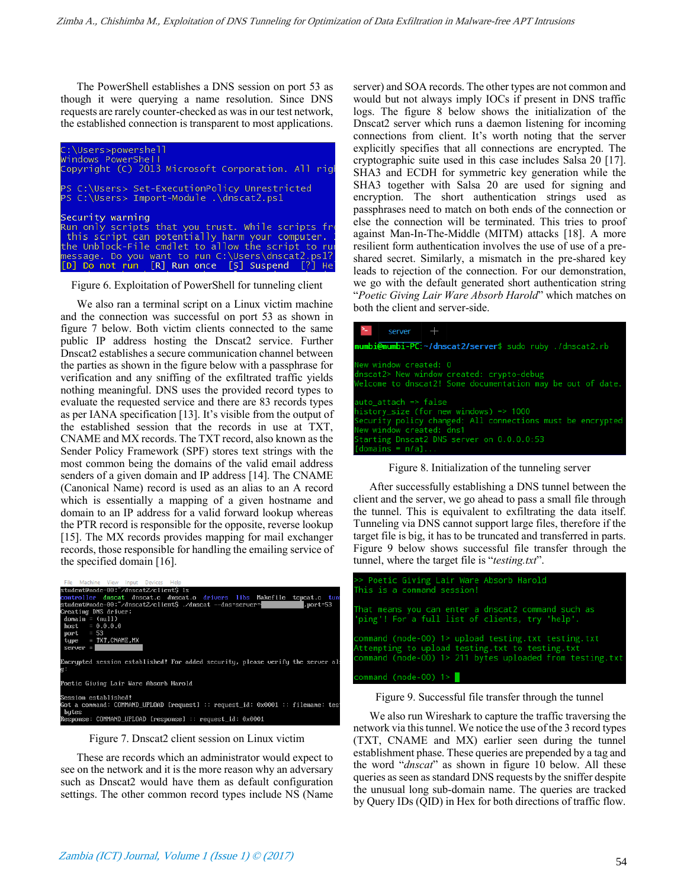The PowerShell establishes a DNS session on port 53 as though it were querying a name resolution. Since DNS requests are rarely counter-checked as was in our test network, the established connection is transparent to most applications.



Figure 6. Exploitation of PowerShell for tunneling client

We also ran a terminal script on a Linux victim machine and the connection was successful on port 53 as shown in figure 7 below. Both victim clients connected to the same public IP address hosting the Dnscat2 service. Further Dnscat2 establishes a secure communication channel between the parties as shown in the figure below with a passphrase for verification and any sniffing of the exfiltrated traffic yields nothing meaningful. DNS uses the provided record types to evaluate the requested service and there are 83 records types as per IANA specification [13]. It's visible from the output of the established session that the records in use at TXT, CNAME and MX records. The TXT record, also known as the Sender Policy Framework (SPF) stores text strings with the most common being the domains of the valid email address senders of a given domain and IP address [14]. The CNAME (Canonical Name) record is used as an alias to an A record which is essentially a mapping of a given hostname and domain to an IP address for a valid forward lookup whereas the PTR record is responsible for the opposite, reverse lookup [15]. The MX records provides mapping for mail exchanger records, those responsible for handling the emailing service of the specified domain [16].

| File Machine View Input Devices Help                                                                            |
|-----------------------------------------------------------------------------------------------------------------|
| student@node-00:~⁄dnscat2⁄client\$ ls                                                                           |
| controller dnscat dnscat.c dnscat.o drivers libs Makefile tcpcat.c tum                                          |
| student@node-00:~/dnscat2/client\$ ./dnscat --dns=server= <br>, port=53                                         |
| Creating DNS driver:                                                                                            |
| $domain = (null)$                                                                                               |
| $host = 0.0.0.0$                                                                                                |
| port $= 53$                                                                                                     |
| $type = TXT, CNAME, MX$                                                                                         |
| $server =$                                                                                                      |
| Encrypted session established! For added security, please verify the server al:<br>g.                           |
| Poetic Giving Lair Ware Absorb Harold                                                                           |
| Session established!<br>Got a command: COMMAND UPLOAD [request] :: request id: 0x0001 :: filename: tes<br>butes |
| Response: COMMAND UPLOAD [response] :: request id: 0x0001                                                       |
|                                                                                                                 |

Figure 7. Dnscat2 client session on Linux victim

These are records which an administrator would expect to see on the network and it is the more reason why an adversary such as Dnscat2 would have them as default configuration settings. The other common record types include NS (Name server) and SOA records. The other types are not common and would but not always imply IOCs if present in DNS traffic logs. The figure 8 below shows the initialization of the Dnscat2 server which runs a daemon listening for incoming connections from client. It's worth noting that the server explicitly specifies that all connections are encrypted. The cryptographic suite used in this case includes Salsa 20 [17]. SHA3 and ECDH for symmetric key generation while the SHA3 together with Salsa 20 are used for signing and encryption. The short authentication strings used as passphrases need to match on both ends of the connection or else the connection will be terminated. This tries to proof against Man-In-The-Middle (MITM) attacks [18]. A more resilient form authentication involves the use of use of a preshared secret. Similarly, a mismatch in the pre-shared key leads to rejection of the connection. For our demonstration, we go with the default generated short authentication string "*Poetic Giving Lair Ware Absorb Harold*" which matches on both the client and server-side.

| server $+$                                                                                                                       |  |  |  |  |
|----------------------------------------------------------------------------------------------------------------------------------|--|--|--|--|
| mumbi@mumbi-PC:~/dnscat2/server\$ sudo ruby ./dnscat2.rb                                                                         |  |  |  |  |
| New window created: 0<br>dnscat2> New window created: crypto-debug<br>Welcome to dnscat2! Some documentation may be out of date. |  |  |  |  |
| auto attach $\Rightarrow$ false<br>history_size (for new windows) => $1000$                                                      |  |  |  |  |
| Security policy changed: All connections must be encrypted<br>New window created: dns1                                           |  |  |  |  |
| Starting Dnscat2 DNS server on 0.0.0.0:53<br>$[domains = n/a] \dots$                                                             |  |  |  |  |



After successfully establishing a DNS tunnel between the client and the server, we go ahead to pass a small file through the tunnel. This is equivalent to exfiltrating the data itself. Tunneling via DNS cannot support large files, therefore if the target file is big, it has to be truncated and transferred in parts. Figure 9 below shows successful file transfer through the tunnel, where the target file is "*testing.txt*".

| >> Poetic Giving Lair Ware Absorb Harold<br>This is a command session!                                                                                             |
|--------------------------------------------------------------------------------------------------------------------------------------------------------------------|
| That means you can enter a dnscat2 command such as<br>'ping'! For a full list of clients, try 'help'.                                                              |
| command (node-00) 1> upload testing.txt testing.txt<br>Attempting to upload testing.txt to testing.txt<br>command (node-00) 1> 211 bytes uploaded from testing.txt |
| $command (node-00) 1>$                                                                                                                                             |

Figure 9. Successful file transfer through the tunnel

We also run Wireshark to capture the traffic traversing the network via this tunnel. We notice the use of the 3 record types (TXT, CNAME and MX) earlier seen during the tunnel establishment phase. These queries are prepended by a tag and the word "*dnscat*" as shown in figure 10 below. All these queries as seen as standard DNS requests by the sniffer despite the unusual long sub-domain name. The queries are tracked by Query IDs (QID) in Hex for both directions of traffic flow.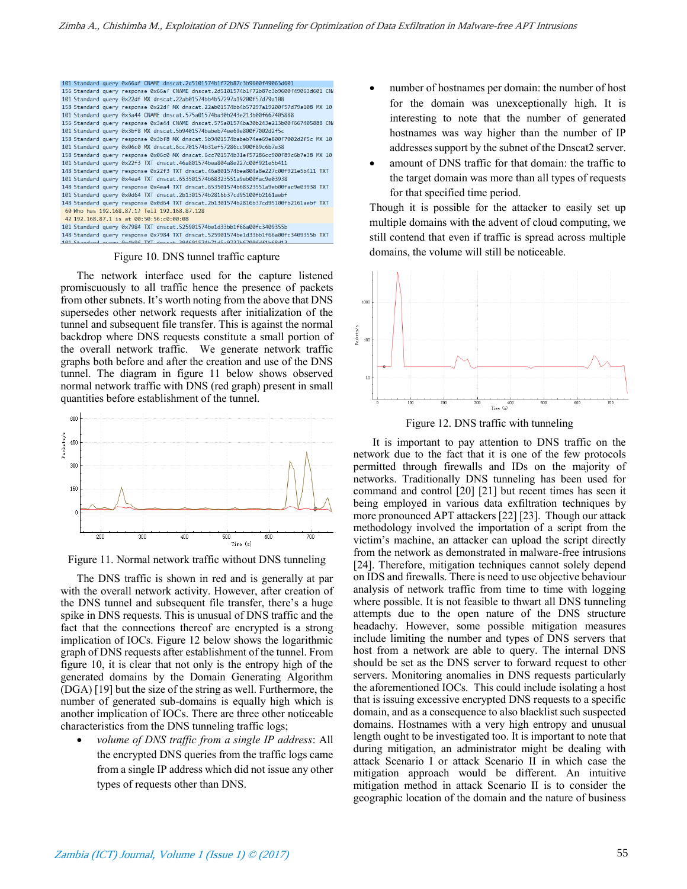

#### Figure 10. DNS tunnel traffic capture

The network interface used for the capture listened promiscuously to all traffic hence the presence of packets from other subnets. It's worth noting from the above that DNS supersedes other network requests after initialization of the tunnel and subsequent file transfer. This is against the normal backdrop where DNS requests constitute a small portion of the overall network traffic. We generate network traffic graphs both before and after the creation and use of the DNS tunnel. The diagram in figure 11 below shows observed normal network traffic with DNS (red graph) present in small quantities before establishment of the tunnel.



Figure 11. Normal network traffic without DNS tunneling

The DNS traffic is shown in red and is generally at par with the overall network activity. However, after creation of the DNS tunnel and subsequent file transfer, there's a huge spike in DNS requests. This is unusual of DNS traffic and the fact that the connections thereof are encrypted is a strong implication of IOCs. Figure 12 below shows the logarithmic graph of DNS requests after establishment of the tunnel. From figure 10, it is clear that not only is the entropy high of the generated domains by the Domain Generating Algorithm (DGA) [19] but the size of the string as well. Furthermore, the number of generated sub-domains is equally high which is another implication of IOCs. There are three other noticeable characteristics from the DNS tunneling traffic logs;

 *volume of DNS traffic from a single IP address*: All the encrypted DNS queries from the traffic logs came from a single IP address which did not issue any other types of requests other than DNS.

- number of hostnames per domain: the number of host for the domain was unexceptionally high. It is interesting to note that the number of generated hostnames was way higher than the number of IP addresses support by the subnet of the Dnscat2 server.
- amount of DNS traffic for that domain: the traffic to the target domain was more than all types of requests for that specified time period.

Though it is possible for the attacker to easily set up multiple domains with the advent of cloud computing, we still contend that even if traffic is spread across multiple domains, the volume will still be noticeable.



Figure 12. DNS traffic with tunneling

 It is important to pay attention to DNS traffic on the network due to the fact that it is one of the few protocols permitted through firewalls and IDs on the majority of networks. Traditionally DNS tunneling has been used for command and control [20] [21] but recent times has seen it being employed in various data exfiltration techniques by more pronounced APT attackers [22] [23]. Though our attack methodology involved the importation of a script from the victim's machine, an attacker can upload the script directly from the network as demonstrated in malware-free intrusions [24]. Therefore, mitigation techniques cannot solely depend on IDS and firewalls. There is need to use objective behaviour analysis of network traffic from time to time with logging where possible. It is not feasible to thwart all DNS tunneling attempts due to the open nature of the DNS structure headachy. However, some possible mitigation measures include limiting the number and types of DNS servers that host from a network are able to query. The internal DNS should be set as the DNS server to forward request to other servers. Monitoring anomalies in DNS requests particularly the aforementioned IOCs. This could include isolating a host that is issuing excessive encrypted DNS requests to a specific domain, and as a consequence to also blacklist such suspected domains. Hostnames with a very high entropy and unusual length ought to be investigated too. It is important to note that during mitigation, an administrator might be dealing with attack Scenario I or attack Scenario II in which case the mitigation approach would be different. An intuitive mitigation method in attack Scenario II is to consider the geographic location of the domain and the nature of business